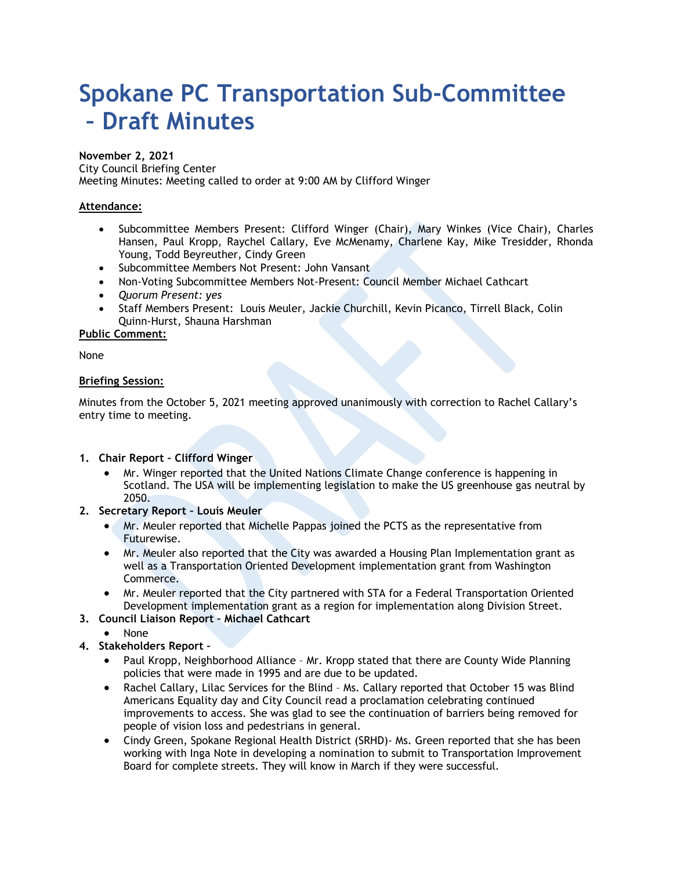# **Spokane PC Transportation Sub-Committee – Draft Minutes**

#### **November 2, 2021**

City Council Briefing Center Meeting Minutes: Meeting called to order at 9:00 AM by Clifford Winger

## **Attendance:**

- Subcommittee Members Present: Clifford Winger (Chair), Mary Winkes (Vice Chair), Charles Hansen, Paul Kropp, Raychel Callary, Eve McMenamy, Charlene Kay, Mike Tresidder, Rhonda Young, Todd Beyreuther, Cindy Green
- Subcommittee Members Not Present: John Vansant
- Non-Voting Subcommittee Members Not-Present: Council Member Michael Cathcart
- *Quorum Present: yes*
- Staff Members Present: Louis Meuler, Jackie Churchill, Kevin Picanco, Tirrell Black, Colin Quinn-Hurst, Shauna Harshman

**Public Comment:** 

None

### **Briefing Session:**

Minutes from the October 5, 2021 meeting approved unanimously with correction to Rachel Callary's entry time to meeting.

### **1. Chair Report – Clifford Winger**

- Mr. Winger reported that the United Nations Climate Change conference is happening in Scotland. The USA will be implementing legislation to make the US greenhouse gas neutral by 2050.
- **2. Secretary Report Louis Meuler**
	- Mr. Meuler reported that Michelle Pappas joined the PCTS as the representative from Futurewise.
	- Mr. Meuler also reported that the City was awarded a Housing Plan Implementation grant as well as a Transportation Oriented Development implementation grant from Washington Commerce.
	- Mr. Meuler reported that the City partnered with STA for a Federal Transportation Oriented Development implementation grant as a region for implementation along Division Street.
- **3. Council Liaison Report Michael Cathcart**
	- None
- **4. Stakeholders Report –**
	- Paul Kropp, Neighborhood Alliance Mr. Kropp stated that there are County Wide Planning policies that were made in 1995 and are due to be updated.
	- Rachel Callary, Lilac Services for the Blind Ms. Callary reported that October 15 was Blind Americans Equality day and City Council read a proclamation celebrating continued improvements to access. She was glad to see the continuation of barriers being removed for people of vision loss and pedestrians in general.
	- Cindy Green, Spokane Regional Health District (SRHD)- Ms. Green reported that she has been working with Inga Note in developing a nomination to submit to Transportation Improvement Board for complete streets. They will know in March if they were successful.